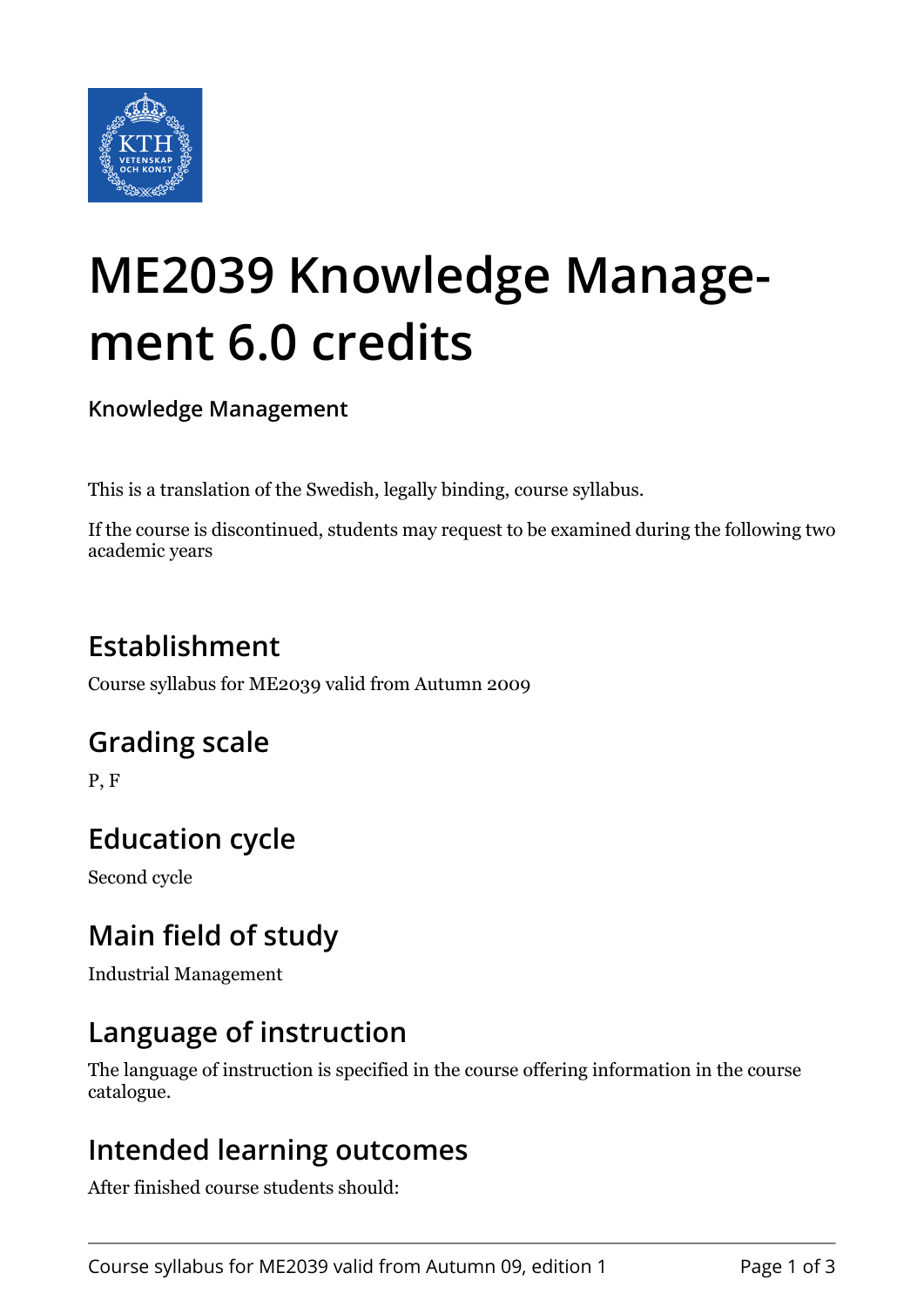

# **ME2039 Knowledge Management 6.0 credits**

**Knowledge Management**

This is a translation of the Swedish, legally binding, course syllabus.

If the course is discontinued, students may request to be examined during the following two academic years

# **Establishment**

Course syllabus for ME2039 valid from Autumn 2009

## **Grading scale**

P, F

# **Education cycle**

Second cycle

## **Main field of study**

Industrial Management

## **Language of instruction**

The language of instruction is specified in the course offering information in the course catalogue.

#### **Intended learning outcomes**

After finished course students should: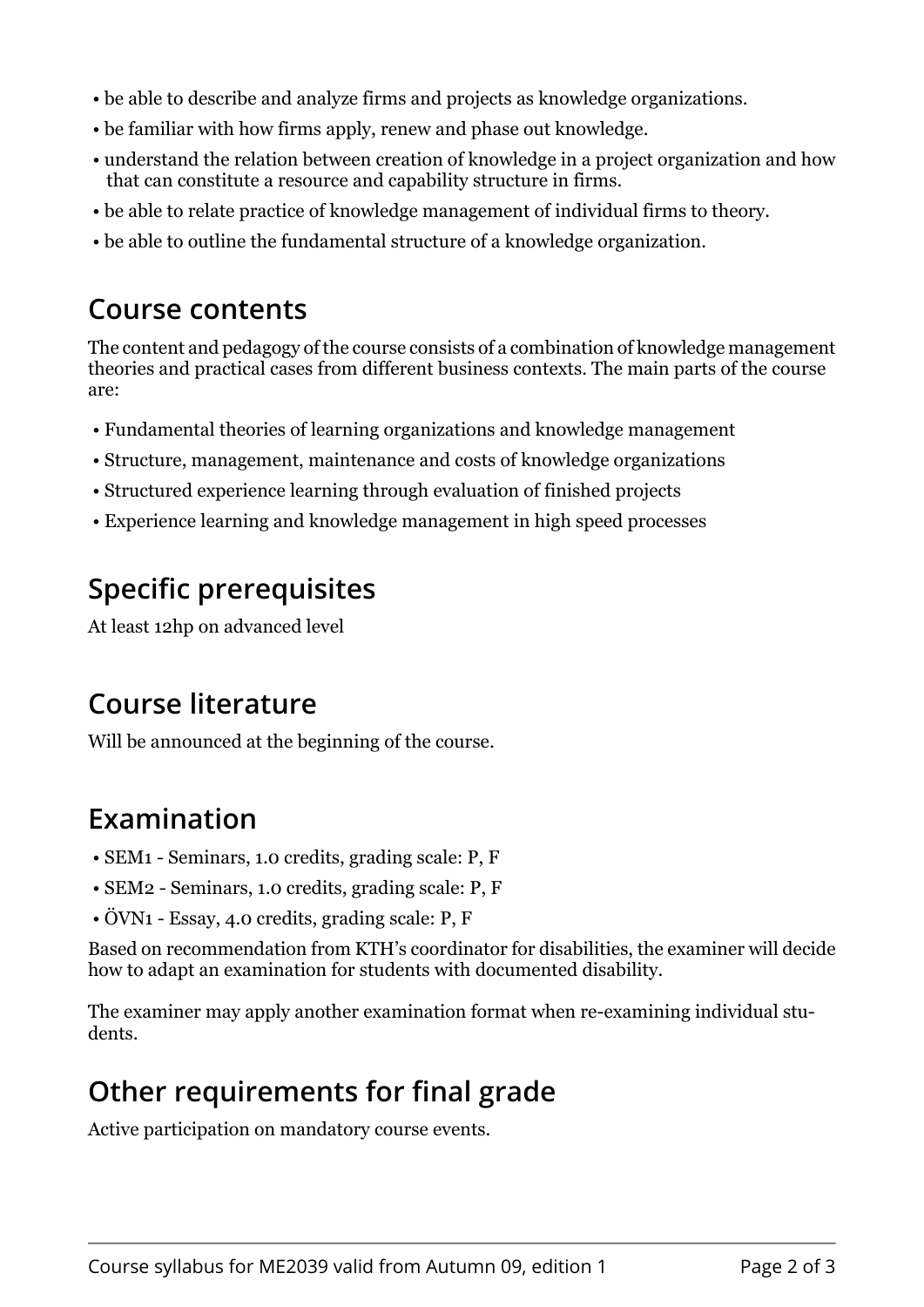- be able to describe and analyze firms and projects as knowledge organizations.
- be familiar with how firms apply, renew and phase out knowledge.
- understand the relation between creation of knowledge in a project organization and how that can constitute a resource and capability structure in firms.
- be able to relate practice of knowledge management of individual firms to theory.
- be able to outline the fundamental structure of a knowledge organization.

#### **Course contents**

The content and pedagogy of the course consists of a combination of knowledge management theories and practical cases from different business contexts. The main parts of the course are:

- Fundamental theories of learning organizations and knowledge management
- Structure, management, maintenance and costs of knowledge organizations
- Structured experience learning through evaluation of finished projects
- Experience learning and knowledge management in high speed processes

## **Specific prerequisites**

At least 12hp on advanced level

## **Course literature**

Will be announced at the beginning of the course.

## **Examination**

- SEM1 Seminars, 1.0 credits, grading scale: P, F
- SEM2 Seminars, 1.0 credits, grading scale: P, F
- ÖVN1 Essay, 4.0 credits, grading scale: P, F

Based on recommendation from KTH's coordinator for disabilities, the examiner will decide how to adapt an examination for students with documented disability.

The examiner may apply another examination format when re-examining individual students.

## **Other requirements for final grade**

Active participation on mandatory course events.